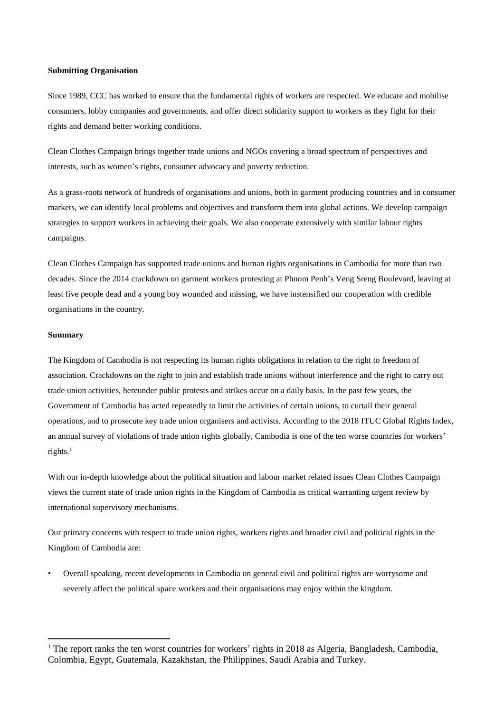#### **Submitting Organisation**

Since 1989, CCC has worked to ensure that the fundamental rights of workers are respected. We educate and mobilise consumers, lobby companies and governments, and offer direct solidarity support to workers as they fight for their rights and demand better working conditions.

Clean Clothes Campaign brings together trade unions and NGOs covering a broad spectrum of perspectives and interests, such as women's rights, consumer advocacy and poverty reduction.

As a grass-roots network of hundreds of organisations and unions, both in garment producing countries and in consumer markets, we can identify local problems and objectives and transform them into global actions. We develop campaign strategies to support workers in achieving their goals. We also cooperate extensively with similar labour rights campaigns.

Clean Clothes Campaign has supported trade unions and human rights organisations in Cambodia for more than two decades. Since the 2014 crackdown on garment workers protesting at Phnom Penh's Veng Sreng Boulevard, leaving at least five people dead and a young boy wounded and missing, we have instensified our cooperation with credible organisations in the country.

### **Summary**

<u>.</u>

The Kingdom of Cambodia is not respecting its human rights obligations in relation to the right to freedom of association. Crackdowns on the right to join and establish trade unions without interference and the right to carry out trade union activities, hereunder public protests and strikes occur on a daily basis. In the past few years, the Government of Cambodia has acted repeatedly to limit the activities of certain unions, to curtail their general operations, and to prosecute key trade union organisers and activists. According to the 2018 ITUC Global Rights Index, an annual survey of violations of trade union rights globally, Cambodia is one of the ten worse countries for workers' rights. $1$ 

With our in-depth knowledge about the political situation and labour market related issues Clean Clothes Campaign views the current state of trade union rights in the Kingdom of Cambodia as critical warranting urgent review by international supervisory mechanisms.

Our primary concerns with respect to trade union rights, workers rights and broader civil and political rights in the Kingdom of Cambodia are:

• Overall speaking, recent developments in Cambodia on general civil and political rights are worrysome and severely affect the political space workers and their organisations may enjoy within the kingdom.

<sup>&</sup>lt;sup>1</sup> The report ranks the ten worst countries for workers' rights in 2018 as Algeria, Bangladesh, Cambodia, Colombia, Egypt, Guatemala, Kazakhstan, the Philippines, Saudi Arabia and Turkey.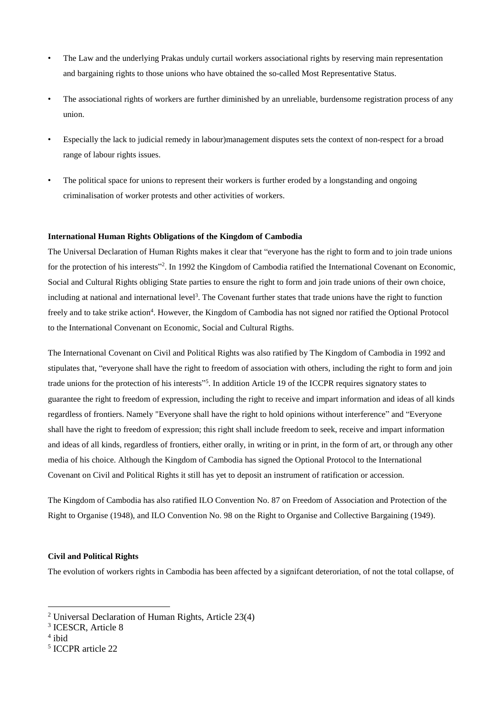- The Law and the underlying Prakas unduly curtail workers associational rights by reserving main representation and bargaining rights to those unions who have obtained the so-called Most Representative Status.
- The associational rights of workers are further diminished by an unreliable, burdensome registration process of any union.
- Especially the lack to judicial remedy in labour)management disputes sets the context of non-respect for a broad range of labour rights issues.
- The political space for unions to represent their workers is further eroded by a longstanding and ongoing criminalisation of worker protests and other activities of workers.

## **International Human Rights Obligations of the Kingdom of Cambodia**

The Universal Declaration of Human Rights makes it clear that "everyone has the right to form and to join trade unions for the protection of his interests"<sup>2</sup>. In 1992 the Kingdom of Cambodia ratified the International Covenant on Economic, Social and Cultural Rights obliging State parties to ensure the right to form and join trade unions of their own choice, including at national and international level<sup>3</sup>. The Covenant further states that trade unions have the right to function freely and to take strike action<sup>4</sup>. However, the Kingdom of Cambodia has not signed nor ratified the Optional Protocol to the International Convenant on Economic, Social and Cultural Rigths.

The International Covenant on Civil and Political Rights was also ratified by The Kingdom of Cambodia in 1992 and stipulates that, "everyone shall have the right to freedom of association with others, including the right to form and join trade unions for the protection of his interests" 5 . In addition Article 19 of the ICCPR requires signatory states to guarantee the right to freedom of expression, including the right to receive and impart information and ideas of all kinds regardless of frontiers. Namely "Everyone shall have the right to hold opinions without interference" and "Everyone shall have the right to freedom of expression; this right shall include freedom to seek, receive and impart information and ideas of all kinds, regardless of frontiers, either orally, in writing or in print, in the form of art, or through any other media of his choice. Although the Kingdom of Cambodia has signed the Optional Protocol to the International Covenant on Civil and Political Rights it still has yet to deposit an instrument of ratification or accession.

The Kingdom of Cambodia has also ratified ILO Convention No. 87 on Freedom of Association and Protection of the Right to Organise (1948), and ILO Convention No. 98 on the Right to Organise and Collective Bargaining (1949).

# **Civil and Political Rights**

The evolution of workers rights in Cambodia has been affected by a signifcant deteroriation, of not the total collapse, of

1

<sup>2</sup> Universal Declaration of Human Rights, Article 23(4)

<sup>3</sup> ICESCR, Article 8

<sup>4</sup> ibid

<sup>5</sup> ICCPR article 22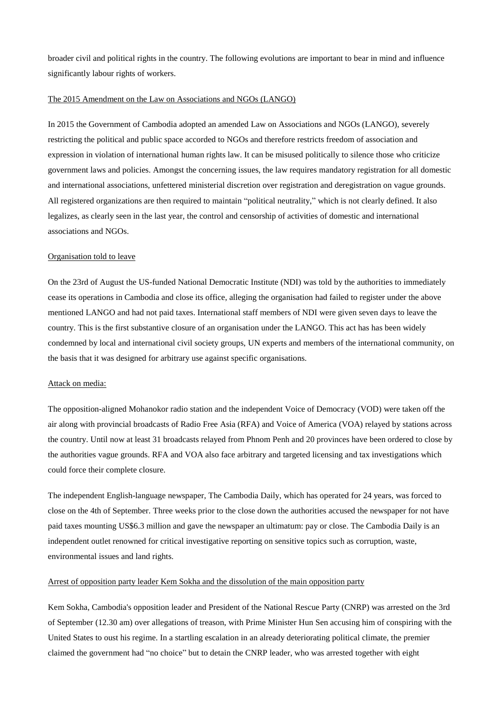broader civil and political rights in the country. The following evolutions are important to bear in mind and influence significantly labour rights of workers.

#### The 2015 Amendment on the Law on Associations and NGOs (LANGO)

In 2015 the Government of Cambodia adopted an amended Law on Associations and NGOs (LANGO), severely restricting the political and public space accorded to NGOs and therefore restricts freedom of association and expression in violation of international human rights law. It can be misused politically to silence those who criticize government laws and policies. Amongst the concerning issues, the law requires mandatory registration for all domestic and international associations, unfettered ministerial discretion over registration and deregistration on vague grounds. All registered organizations are then required to maintain "political neutrality," which is not clearly defined. It also legalizes, as clearly seen in the last year, the control and censorship of activities of domestic and international associations and NGOs.

## Organisation told to leave

On the 23rd of August the US-funded National Democratic Institute (NDI) was told by the authorities to immediately cease its operations in Cambodia and close its office, alleging the organisation had failed to register under the above mentioned LANGO and had not paid taxes. International staff members of NDI were given seven days to leave the country. This is the first substantive closure of an organisation under the LANGO. This act has has been widely condemned by local and international civil society groups, UN experts and members of the international community, on the basis that it was designed for arbitrary use against specific organisations.

#### Attack on media:

The opposition-aligned Mohanokor radio station and the independent Voice of Democracy (VOD) were taken off the air along with provincial broadcasts of Radio Free Asia (RFA) and Voice of America (VOA) relayed by stations across the country. Until now at least 31 broadcasts relayed from Phnom Penh and 20 provinces have been ordered to close by the authorities vague grounds. RFA and VOA also face arbitrary and targeted licensing and tax investigations which could force their complete closure.

The independent English-language newspaper, The Cambodia Daily, which has operated for 24 years, was forced to close on the 4th of September. Three weeks prior to the close down the authorities accused the newspaper for not have paid taxes mounting US\$6.3 million and gave the newspaper an ultimatum: pay or close. The Cambodia Daily is an independent outlet renowned for critical investigative reporting on sensitive topics such as corruption, waste, environmental issues and land rights.

#### Arrest of opposition party leader Kem Sokha and the dissolution of the main opposition party

Kem Sokha, Cambodia's opposition leader and President of the National Rescue Party (CNRP) was arrested on the 3rd of September (12.30 am) over allegations of treason, with Prime Minister Hun Sen accusing him of conspiring with the United States to oust his regime. In a startling escalation in an already deteriorating political climate, the premier claimed the government had "no choice" but to detain the CNRP leader, who was arrested together with eight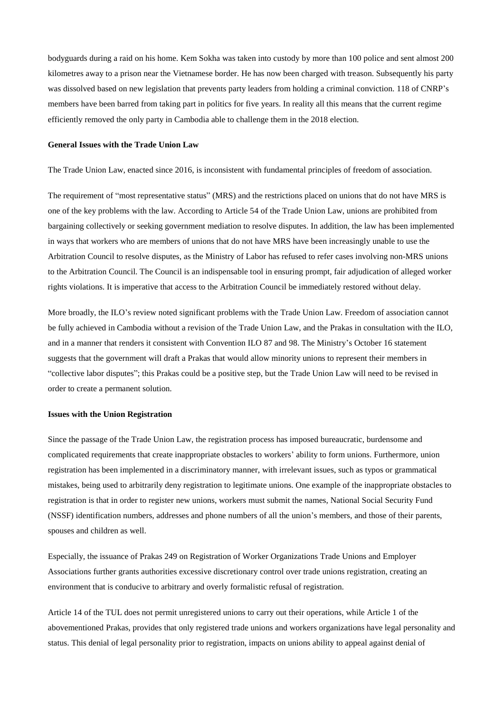bodyguards during a raid on his home. Kem Sokha was taken into custody by more than 100 police and sent almost 200 kilometres away to a prison near the Vietnamese border. He has now been charged with treason. Subsequently his party was dissolved based on new legislation that prevents party leaders from holding a criminal conviction. 118 of CNRP's members have been barred from taking part in politics for five years. In reality all this means that the current regime efficiently removed the only party in Cambodia able to challenge them in the 2018 election.

## **General Issues with the Trade Union Law**

The Trade Union Law, enacted since 2016, is inconsistent with fundamental principles of freedom of association.

The requirement of "most representative status" (MRS) and the restrictions placed on unions that do not have MRS is one of the key problems with the law. According to Article 54 of the Trade Union Law, unions are prohibited from bargaining collectively or seeking government mediation to resolve disputes. In addition, the law has been implemented in ways that workers who are members of unions that do not have MRS have been increasingly unable to use the Arbitration Council to resolve disputes, as the Ministry of Labor has refused to refer cases involving non-MRS unions to the Arbitration Council. The Council is an indispensable tool in ensuring prompt, fair adjudication of alleged worker rights violations. It is imperative that access to the Arbitration Council be immediately restored without delay.

More broadly, the ILO's review noted significant problems with the Trade Union Law. Freedom of association cannot be fully achieved in Cambodia without a revision of the Trade Union Law, and the Prakas in consultation with the ILO, and in a manner that renders it consistent with Convention ILO 87 and 98. The Ministry's October 16 statement suggests that the government will draft a Prakas that would allow minority unions to represent their members in "collective labor disputes"; this Prakas could be a positive step, but the Trade Union Law will need to be revised in order to create a permanent solution.

## **Issues with the Union Registration**

Since the passage of the Trade Union Law, the registration process has imposed bureaucratic, burdensome and complicated requirements that create inappropriate obstacles to workers' ability to form unions. Furthermore, union registration has been implemented in a discriminatory manner, with irrelevant issues, such as typos or grammatical mistakes, being used to arbitrarily deny registration to legitimate unions. One example of the inappropriate obstacles to registration is that in order to register new unions, workers must submit the names, National Social Security Fund (NSSF) identification numbers, addresses and phone numbers of all the union's members, and those of their parents, spouses and children as well.

Especially, the issuance of Prakas 249 on Registration of Worker Organizations Trade Unions and Employer Associations further grants authorities excessive discretionary control over trade unions registration, creating an environment that is conducive to arbitrary and overly formalistic refusal of registration.

Article 14 of the TUL does not permit unregistered unions to carry out their operations, while Article 1 of the abovementioned Prakas, provides that only registered trade unions and workers organizations have legal personality and status. This denial of legal personality prior to registration, impacts on unions ability to appeal against denial of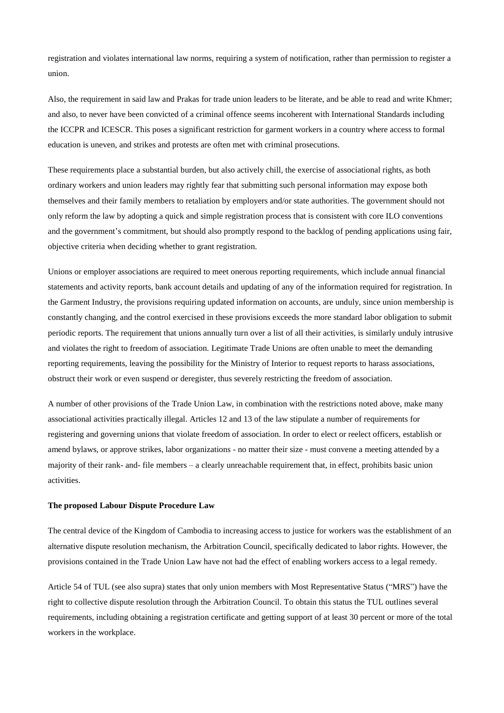registration and violates international law norms, requiring a system of notification, rather than permission to register a union.

Also, the requirement in said law and Prakas for trade union leaders to be literate, and be able to read and write Khmer; and also, to never have been convicted of a criminal offence seems incoherent with International Standards including the ICCPR and ICESCR. This poses a significant restriction for garment workers in a country where access to formal education is uneven, and strikes and protests are often met with criminal prosecutions.

These requirements place a substantial burden, but also actively chill, the exercise of associational rights, as both ordinary workers and union leaders may rightly fear that submitting such personal information may expose both themselves and their family members to retaliation by employers and/or state authorities. The government should not only reform the law by adopting a quick and simple registration process that is consistent with core ILO conventions and the government's commitment, but should also promptly respond to the backlog of pending applications using fair, objective criteria when deciding whether to grant registration.

Unions or employer associations are required to meet onerous reporting requirements, which include annual financial statements and activity reports, bank account details and updating of any of the information required for registration. In the Garment Industry, the provisions requiring updated information on accounts, are unduly, since union membership is constantly changing, and the control exercised in these provisions exceeds the more standard labor obligation to submit periodic reports. The requirement that unions annually turn over a list of all their activities, is similarly unduly intrusive and violates the right to freedom of association. Legitimate Trade Unions are often unable to meet the demanding reporting requirements, leaving the possibility for the Ministry of Interior to request reports to harass associations, obstruct their work or even suspend or deregister, thus severely restricting the freedom of association.

A number of other provisions of the Trade Union Law, in combination with the restrictions noted above, make many associational activities practically illegal. Articles 12 and 13 of the law stipulate a number of requirements for registering and governing unions that violate freedom of association. In order to elect or reelect officers, establish or amend bylaws, or approve strikes, labor organizations - no matter their size - must convene a meeting attended by a majority of their rank- and- file members – a clearly unreachable requirement that, in effect, prohibits basic union activities.

#### **The proposed Labour Dispute Procedure Law**

The central device of the Kingdom of Cambodia to increasing access to justice for workers was the establishment of an alternative dispute resolution mechanism, the Arbitration Council, specifically dedicated to labor rights. However, the provisions contained in the Trade Union Law have not had the effect of enabling workers access to a legal remedy.

Article 54 of TUL (see also supra) states that only union members with Most Representative Status ("MRS") have the right to collective dispute resolution through the Arbitration Council. To obtain this status the TUL outlines several requirements, including obtaining a registration certificate and getting support of at least 30 percent or more of the total workers in the workplace.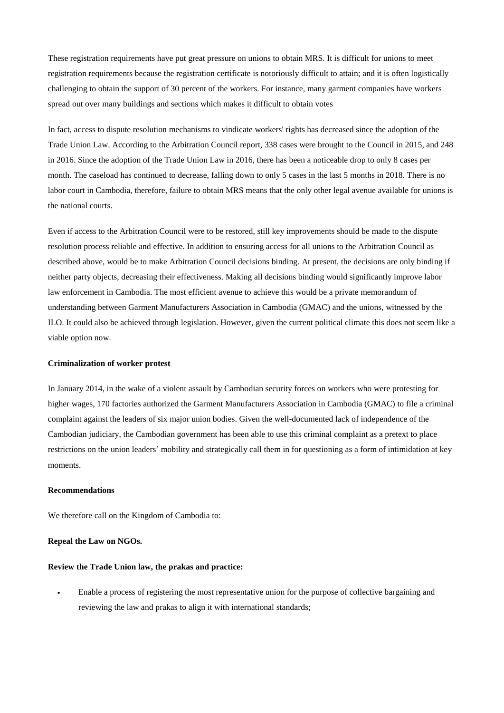These registration requirements have put great pressure on unions to obtain MRS. It is difficult for unions to meet registration requirements because the registration certificate is notoriously difficult to attain; and it is often logistically challenging to obtain the support of 30 percent of the workers. For instance, many garment companies have workers spread out over many buildings and sections which makes it difficult to obtain votes

In fact, access to dispute resolution mechanisms to vindicate workers' rights has decreased since the adoption of the Trade Union Law. According to the Arbitration Council report, 338 cases were brought to the Council in 2015, and 248 in 2016. Since the adoption of the Trade Union Law in 2016, there has been a noticeable drop to only 8 cases per month. The caseload has continued to decrease, falling down to only 5 cases in the last 5 months in 2018. There is no labor court in Cambodia, therefore, failure to obtain MRS means that the only other legal avenue available for unions is the national courts.

Even if access to the Arbitration Council were to be restored, still key improvements should be made to the dispute resolution process reliable and effective. In addition to ensuring access for all unions to the Arbitration Council as described above, would be to make Arbitration Council decisions binding. At present, the decisions are only binding if neither party objects, decreasing their effectiveness. Making all decisions binding would significantly improve labor law enforcement in Cambodia. The most efficient avenue to achieve this would be a private memorandum of understanding between Garment Manufacturers Association in Cambodia (GMAC) and the unions, witnessed by the ILO. It could also be achieved through legislation. However, given the current political climate this does not seem like a viable option now.

#### **Criminalization of worker protest**

In January 2014, in the wake of a violent assault by Cambodian security forces on workers who were protesting for higher wages, 170 factories authorized the Garment Manufacturers Association in Cambodia (GMAC) to file a criminal complaint against the leaders of six major union bodies. Given the well-documented lack of independence of the Cambodian judiciary, the Cambodian government has been able to use this criminal complaint as a pretext to place restrictions on the union leaders' mobility and strategically call them in for questioning as a form of intimidation at key moments.

## **Recommendations**

We therefore call on the Kingdom of Cambodia to:

## **Repeal the Law on NGOs.**

### **Review the Trade Union law, the prakas and practice:**

• Enable a process of registering the most representative union for the purpose of collective bargaining and reviewing the law and prakas to align it with international standards;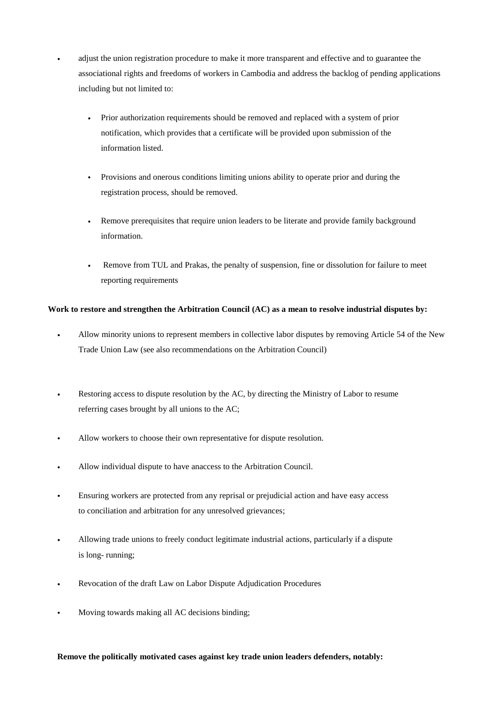• adjust the union registration procedure to make it more transparent and effective and to guarantee the associational rights and freedoms of workers in Cambodia and address the backlog of pending applications including but not limited to:

- Prior authorization requirements should be removed and replaced with a system of prior notification, which provides that a certificate will be provided upon submission of the information listed.
- Provisions and onerous conditions limiting unions ability to operate prior and during the registration process, should be removed.
- Remove prerequisites that require union leaders to be literate and provide family background information.
- Remove from TUL and Prakas, the penalty of suspension, fine or dissolution for failure to meet reporting requirements

# **Work to restore and strengthen the Arbitration Council (AC) as a mean to resolve industrial disputes by:**

- Allow minority unions to represent members in collective labor disputes by removing Article 54 of the New Trade Union Law (see also recommendations on the Arbitration Council)
- Restoring access to dispute resolution by the AC, by directing the Ministry of Labor to resume referring cases brought by all unions to the AC;
- Allow workers to choose their own representative for dispute resolution.
- Allow individual dispute to have anaccess to the Arbitration Council.
- Ensuring workers are protected from any reprisal or prejudicial action and have easy access to conciliation and arbitration for any unresolved grievances;
- Allowing trade unions to freely conduct legitimate industrial actions, particularly if a dispute is long- running;
- Revocation of the draft Law on Labor Dispute Adjudication Procedures
- Moving towards making all AC decisions binding;

## **Remove the politically motivated cases against key trade union leaders defenders, notably:**